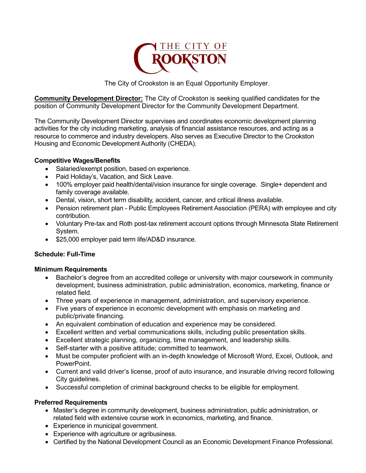

The City of Crookston is an Equal Opportunity Employer.

**Community Development Director:** The City of Crookston is seeking qualified candidates for the position of Community Development Director for the Community Development Department.

The Community Development Director supervises and coordinates economic development planning activities for the city including marketing, analysis of financial assistance resources, and acting as a resource to commerce and industry developers. Also serves as Executive Director to the Crookston Housing and Economic Development Authority (CHEDA).

# **Competitive Wages/Benefits**

- Salaried/exempt position, based on experience.
- Paid Holiday's, Vacation, and Sick Leave.
- 100% employer paid health/dental/vision insurance for single coverage. Single+ dependent and family coverage available.
- Dental, vision, short term disability, accident, cancer, and critical illness available.
- Pension retirement plan Public Employees Retirement Association (PERA) with employee and city contribution.
- Voluntary Pre-tax and Roth post-tax retirement account options through Minnesota State Retirement System.
- \$25,000 employer paid term life/AD&D insurance.

# **Schedule: Full-Time**

### **Minimum Requirements**

- Bachelor's degree from an accredited college or university with major coursework in community development, business administration, public administration, economics, marketing, finance or related field.
- Three years of experience in management, administration, and supervisory experience.
- Five years of experience in economic development with emphasis on marketing and public/private financing.
- An equivalent combination of education and experience may be considered.
- Excellent written and verbal communications skills, including public presentation skills.
- Excellent strategic planning, organizing, time management, and leadership skills.
- Self-starter with a positive attitude; committed to teamwork.
- Must be computer proficient with an in-depth knowledge of Microsoft Word, Excel, Outlook, and PowerPoint.
- Current and valid driver's license, proof of auto insurance, and insurable driving record following City guidelines.
- Successful completion of criminal background checks to be eligible for employment.

### **Preferred Requirements**

- Master's degree in community development, business administration, public administration, or related field with extensive course work in economics, marketing, and finance.
- Experience in municipal government.
- Experience with agriculture or agribusiness.
- Certified by the National Development Council as an Economic Development Finance Professional.